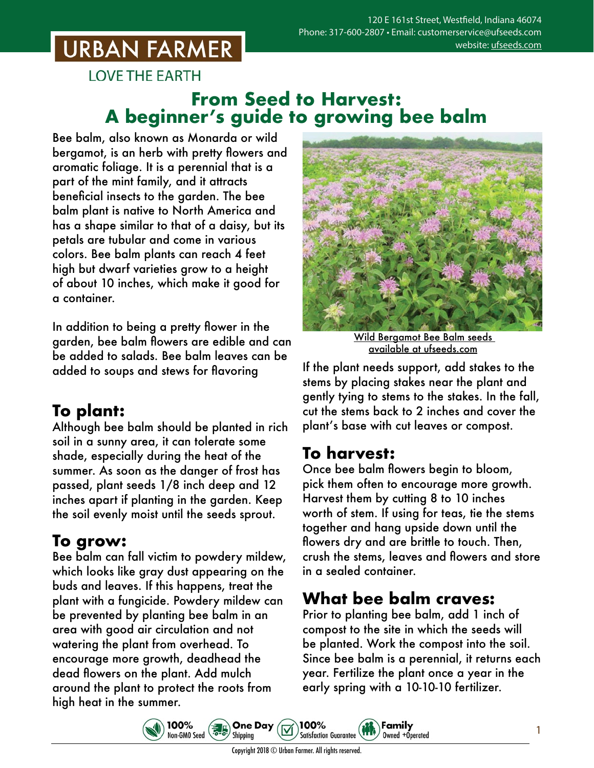# **URBAN FARMER**

**LOVE THE EARTH** 

### **From Seed to Harvest: A beginner's guide to growing bee balm**

Bee balm, also known as Monarda or wild bergamot, is an herb with pretty flowers and aromatic foliage. It is a perennial that is a part of the mint family, and it attracts beneficial insects to the garden. The bee balm plant is native to North America and has a shape similar to that of a daisy, but its petals are tubular and come in various colors. Bee balm plants can reach 4 feet high but dwarf varieties grow to a height of about 10 inches, which make it good for a container.

In addition to being a pretty flower in the garden, bee balm flowers are edible and can be added to salads. Bee balm leaves can be added to soups and stews for flavoring

## **To plant:**

Although bee balm should be planted in rich soil in a sunny area, it can tolerate some shade, especially during the heat of the summer. As soon as the danger of frost has passed, plant seeds 1/8 inch deep and 12 inches apart if planting in the garden. Keep the soil evenly moist until the seeds sprout.

### **To grow:**

Bee balm can fall victim to powdery mildew, which looks like gray dust appearing on the buds and leaves. If this happens, treat the plant with a fungicide. Powdery mildew can be prevented by planting bee balm in an area with good air circulation and not watering the plant from overhead. To encourage more growth, deadhead the dead flowers on the plant. Add mulch around the plant to protect the roots from high heat in the summer.



Wild Bergamot Bee Balm seeds [available at ufseeds.com](https://www.ufseeds.com/product-category/herbs/bee-balm-herb/)

If the plant needs support, add stakes to the stems by placing stakes near the plant and gently tying to stems to the stakes. In the fall, cut the stems back to 2 inches and cover the plant's base with cut leaves or compost.

### **To harvest:**

Once bee balm flowers begin to bloom, pick them often to encourage more growth. Harvest them by cutting 8 to 10 inches worth of stem. If using for teas, tie the stems together and hang upside down until the flowers dry and are brittle to touch. Then, crush the stems, leaves and flowers and store in a sealed container.

### **What bee balm craves:**

Family

Owned +Operated

Prior to planting bee balm, add 1 inch of compost to the site in which the seeds will be planted. Work the compost into the soil. Since bee balm is a perennial, it returns each year. Fertilize the plant once a year in the early spring with a 10-10-10 fertilizer.





Copyright 2018 © Urban Farmer. All rights reserved.

100%

**Satisfaction Guarantee**